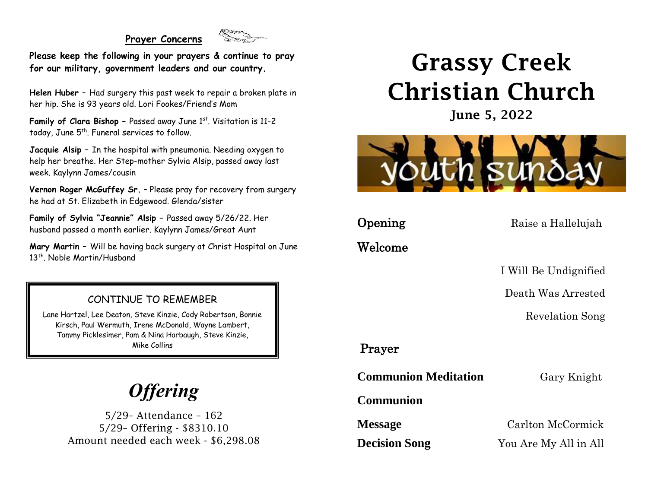#### **Prayer Concerns**



**Please keep the following in your prayers & continue to pray for our military, government leaders and our country.**

**Helen Huber –** Had surgery this past week to repair a broken plate in her hip. She is 93 years old. Lori Fookes/Friend's Mom

**Family of Clara Bishop -** Passed away June 1st. Visitation is 11-2 today, June 5<sup>th</sup>. Funeral services to follow.

**Jacquie Alsip –** In the hospital with pneumonia. Needing oxygen to help her breathe. Her Step-mother Sylvia Alsip, passed away last week. Kaylynn James/cousin

**Vernon Roger McGuffey Sr.** – Please pray for recovery from surgery he had at St. Elizabeth in Edgewood. Glenda/sister

**Family of Sylvia "Jeannie" Alsip –** Passed away 5/26/22. Her husband passed a month earlier. Kaylynn James/Great Aunt

**Mary Martin –** Will be having back surgery at Christ Hospital on June 13<sup>th</sup>. Noble Martin/Husband

### CONTINUE TO REMEMBER

Lane Hartzel, Lee Deaton, Steve Kinzie, Cody Robertson, Bonnie Kirsch, Paul Wermuth, Irene McDonald, Wayne Lambert, Tammy Picklesimer, Pam & Nina Harbaugh, Steve Kinzie, Mike Collins

# *Offering*

5/29– Attendance – 162 5/29– Offering - \$8310.10 Amount needed each week - \$6,298.08

# Grassy Creek Christian Church

June 5, 2022



**Opening** Raise a Hallelujah

Welcome

I Will Be Undignified

Death Was Arrested

Revelation Song

## Prayer

**Communion Meditation** Gary Knight

**Communion**

**Message** Carlton McCormick

**Decision Song** You Are My All in All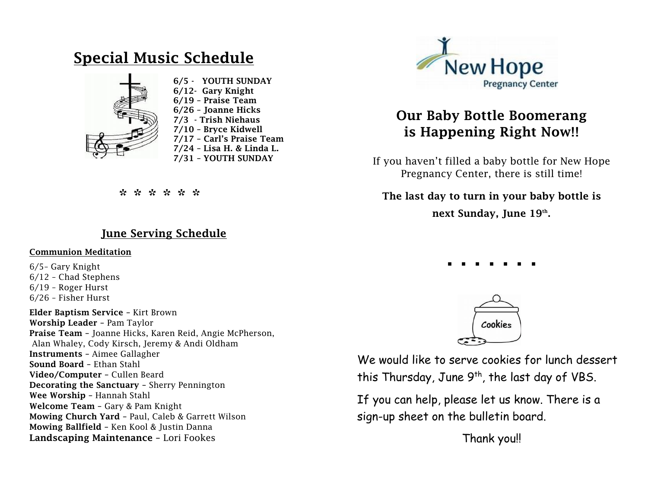## Special Music Schedule Ī



 6/5 - YOUTH SUNDAY 6/12- Gary Knight 6/19 – Praise Team 6/26 – Joanne Hicks 7/3 - Trish Niehaus 7/10 – Bryce Kidwell 7/17 – Carl's Praise Team 7/24 – Lisa H. & Linda L. 7/31 – YOUTH SUNDAY

\* \* \* \* \* \* \*

### June Serving Schedule

#### Communion Meditation

6/5– Gary Knight 6/12 – Chad Stephens 6/19 – Roger Hurst 6/26 – Fisher Hurst

Elder Baptism Service – Kirt Brown Worship Leader – Pam Taylor Praise Team – Joanne Hicks, Karen Reid, Angie McPherson, Alan Whaley, Cody Kirsch, Jeremy & Andi Oldham Instruments – Aimee Gallagher Sound Board – Ethan Stahl Video/Computer – Cullen Beard Decorating the Sanctuary – Sherry Pennington Wee Worship – Hannah Stahl Welcome Team – Gary & Pam Knight Mowing Church Yard – Paul, Caleb & Garrett Wilson Mowing Ballfield – Ken Kool & Justin Danna Landscaping Maintenance – Lori Fookes



# Our Baby Bottle Boomerang is Happening Right Now!!

If you haven't filled a baby bottle for New Hope Pregnancy Center, there is still time!

### The last day to turn in your baby bottle is

next Sunday, June 19th.

. . . . . . .



We would like to serve cookies for lunch dessert this Thursday, June  $9<sup>th</sup>$ , the last day of VBS.

If you can help, please let us know. There is a sign-up sheet on the bulletin board.

Thank you!!